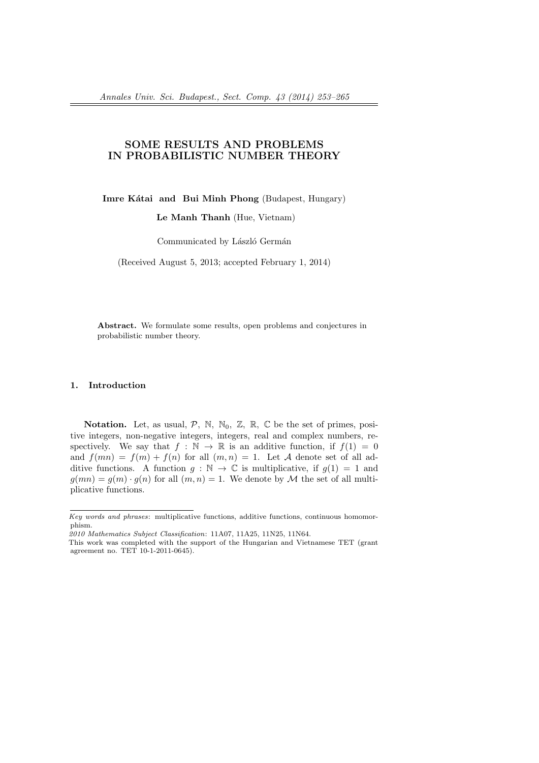# **SOME RESULTS AND PROBLEMS IN PROBABILISTIC NUMBER THEORY**

**Imre Kátai and Bui Minh Phong** (Budapest, Hungary)

**Le Manh Thanh** (Hue, Vietnam)

Communicated by László Germán

(Received August 5, 2013; accepted February 1, 2014)

**Abstract.** We formulate some results, open problems and conjectures in probabilistic number theory.

#### **1. Introduction**

**Notation.** Let, as usual,  $P$ , N, N<sub>0</sub>, Z, R, C be the set of primes, positive integers, non-negative integers, integers, real and complex numbers, respectively. We say that  $f : \mathbb{N} \to \mathbb{R}$  is an additive function, if  $f(1) = 0$ and  $f(mn) = f(m) + f(n)$  for all  $(m, n) = 1$ . Let *A* denote set of all additive functions. A function  $q : \mathbb{N} \to \mathbb{C}$  is multiplicative, if  $q(1) = 1$  and  $g(mn) = g(m) \cdot g(n)$  for all  $(m, n) = 1$ . We denote by *M* the set of all multiplicative functions.

*Key words and phrases*: multiplicative functions, additive functions, continuous homomorphism.

*<sup>2010</sup> Mathematics Subject Classification*: 11A07, 11A25, 11N25, 11N64.

This work was completed with the support of the Hungarian and Vietnamese TET (grant agreement no. TET 10-1-2011-0645).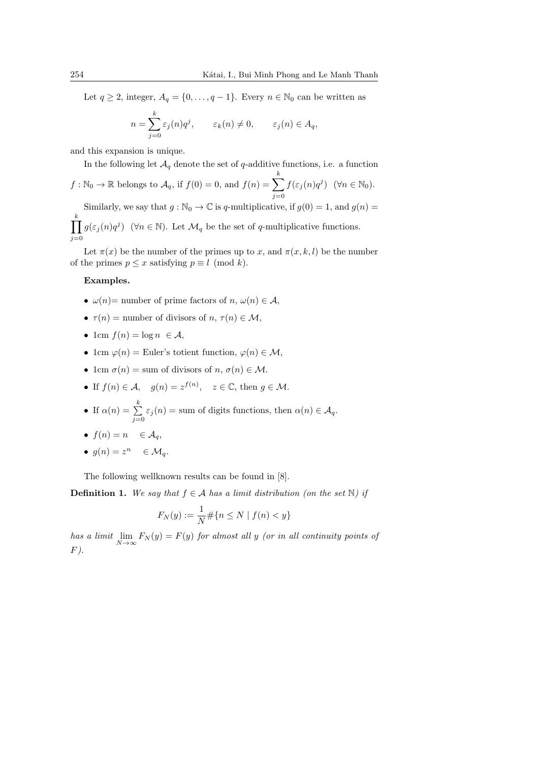Let *q* ≥ 2, integer,  $A_q = \{0, \ldots, q-1\}$ . Every  $n \in \mathbb{N}_0$  can be written as

$$
n = \sum_{j=0}^{k} \varepsilon_j(n) q^j, \qquad \varepsilon_k(n) \neq 0, \qquad \varepsilon_j(n) \in A_q,
$$

and this expansion is unique.

In the following let  $A_q$  denote the set of *q*-additive functions, i.e. a function

 $f: \mathbb{N}_0 \to \mathbb{R}$  belongs to  $\mathcal{A}_q$ , if  $f(0) = 0$ , and  $f(n) = \sum_{k=1}^{k}$ *j*=0  $f(\varepsilon_j(n)q^j)$  (*∀n*  $\in$  N<sub>0</sub>). Similarly, we say that  $g : \mathbb{N}_0 \to \mathbb{C}$  is *q*-multiplicative, if  $g(0) = 1$ , and  $g(n) =$ ∏ *k*

*j*=0  $g(\varepsilon_j(n)q^j)$  ( $\forall n \in \mathbb{N}$ ). Let  $\mathcal{M}_q$  be the set of *q*-multiplicative functions.

Let  $\pi(x)$  be the number of the primes up to *x*, and  $\pi(x, k, l)$  be the number of the primes  $p \leq x$  satisfying  $p \equiv l \pmod{k}$ .

### **Examples.**

- $\omega(n) =$  number of prime factors of *n*,  $\omega(n) \in \mathcal{A}$ ,
- $\tau(n) =$  number of divisors of *n*,  $\tau(n) \in \mathcal{M}$ ,
- 1cm  $f(n) = \log n \in \mathcal{A}$ ,
- 1cm  $\varphi(n) =$  Euler's totient function,  $\varphi(n) \in \mathcal{M}$ ,
- 1cm  $\sigma(n) =$  sum of divisors of *n*,  $\sigma(n) \in \mathcal{M}$ .

• If 
$$
f(n) \in \mathcal{A}
$$
,  $g(n) = z^{f(n)}$ ,  $z \in \mathbb{C}$ , then  $g \in \mathcal{M}$ .

• If 
$$
\alpha(n) = \sum_{j=0}^{k} \varepsilon_j(n) = \text{sum of digits functions, then } \alpha(n) \in \mathcal{A}_q
$$
.

- $f(n) = n \in \mathcal{A}_q$ ,
- $g(n) = z^n \in \mathcal{M}_q$ .

The following wellknown results can be found in [8].

**Definition 1.** We say that  $f \in A$  has a limit distribution (on the set N) if

$$
F_N(y) := \frac{1}{N} \# \{ n \le N \mid f(n) < y \}
$$

*has a limit* lim  $\lim_{N \to \infty} F_N(y) = F(y)$  *for almost all y (or in all continuity points of F).*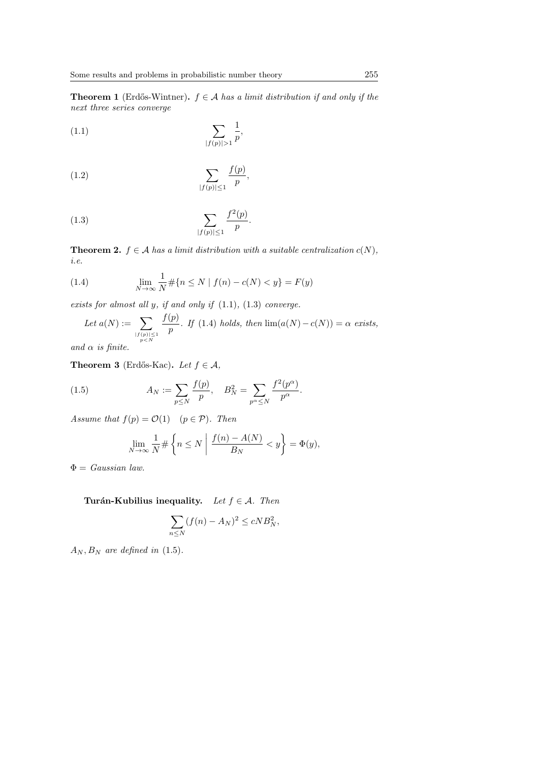**Theorem 1** (Erdős-Wintner).  $f \in A$  *has a limit distribution if and only if the next three series converge*

(1.1) 
$$
\sum_{|f(p)| > 1} \frac{1}{p},
$$

$$
\sum_{|f(p)| \le 1} \frac{f(p)}{p},
$$

(1.3) 
$$
\sum_{|f(p)| \le 1} \frac{f^2(p)}{p}.
$$

**Theorem 2.**  $f \in \mathcal{A}$  *has a limit distribution with a suitable centralization*  $c(N)$ *, i.e.*

(1.4) 
$$
\lim_{N \to \infty} \frac{1}{N} \# \{ n \le N \mid f(n) - c(N) < y \} = F(y)
$$

*exists for almost all y, if and only if* (1.1)*,* (1.3) *converge.*

Let 
$$
a(N) := \sum_{\substack{|f(p)| \le 1 \ p > N}} \frac{f(p)}{p}
$$
. If (1.4) holds, then  $\lim(a(N) - c(N)) = \alpha$  exists,

*and α is finite.*

**Theorem 3** (Erdős-Kac). Let  $f \in \mathcal{A}$ ,

(1.5) 
$$
A_N := \sum_{p \le N} \frac{f(p)}{p}, \quad B_N^2 = \sum_{p^\alpha \le N} \frac{f^2(p^\alpha)}{p^\alpha}.
$$

*Assume that*  $f(p) = \mathcal{O}(1)$   $(p \in \mathcal{P})$ *. Then* 

$$
\lim_{N \to \infty} \frac{1}{N} \# \left\{ n \le N \mid \frac{f(n) - A(N)}{B_N} < y \right\} = \Phi(y),
$$

Φ = *Gaussian law.*

**Turán-Kubilius inequality.** *Let*  $f \in \mathcal{A}$ *. Then* 

$$
\sum_{n\leq N} (f(n) - A_N)^2 \leq cNB_N^2,
$$

 $A_N$ ,  $B_N$  *are defined in* (1.5)*.*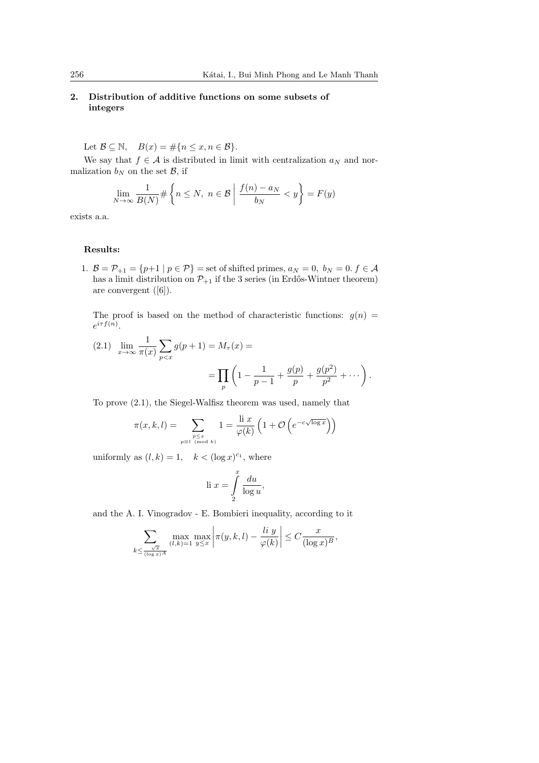# **2. Distribution of additive functions on some subsets of integers**

Let  $\mathcal{B} \subseteq \mathbb{N}$ ,  $B(x) = \#\{n \le x, n \in \mathcal{B}\}.$ 

We say that  $f \in \mathcal{A}$  is distributed in limit with centralization  $a_N$  and normalization  $b_N$  on the set  $\mathcal{B}$ , if

$$
\lim_{N \to \infty} \frac{1}{B(N)} \# \left\{ n \le N, \ n \in \mathcal{B} \mid \frac{f(n) - a_N}{b_N} < y \right\} = F(y)
$$

exists a.a.

### **Results:**

1.  $B = P_{+1} = \{p+1 \mid p \in P\}$  = set of shifted primes,  $a_N = 0, b_N = 0, f \in A$ has a limit distribution on  $\mathcal{P}_{+1}$  if the 3 series (in Erdős-Wintner theorem) are convergent ([6]).

The proof is based on the method of characteristic functions:  $g(n)$  =  $e^{i\tau f(n)}$ .

(2.1) 
$$
\lim_{x \to \infty} \frac{1}{\pi(x)} \sum_{p < x} g(p+1) = M_{\tau}(x) =
$$
\n
$$
= \prod_{p} \left( 1 - \frac{1}{p-1} + \frac{g(p)}{p} + \frac{g(p^2)}{p^2} + \dots \right).
$$

To prove (2.1), the Siegel-Walfisz theorem was used, namely that

$$
\pi(x, k, l) = \sum_{\substack{p \le x \\ p \equiv l \pmod{k}}} 1 = \frac{\text{li } x}{\varphi(k)} \left( 1 + \mathcal{O} \left( e^{-c\sqrt{\log x}} \right) \right)
$$

uniformly as  $(l, k) = 1$ ,  $k < (\log x)^{c_1}$ , where

li 
$$
x = \int_{2}^{x} \frac{du}{\log u},
$$

and the A. I. Vinogradov - E. Bombieri inequality, according to it

$$
\sum_{k \leq \frac{\sqrt{x}}{(\log x)^A}} \max_{(l,k)=1} \max_{y \leq x} \left| \pi(y,k,l) - \frac{\operatorname{li} y}{\varphi(k)} \right| \leq C \frac{x}{(\log x)^B},
$$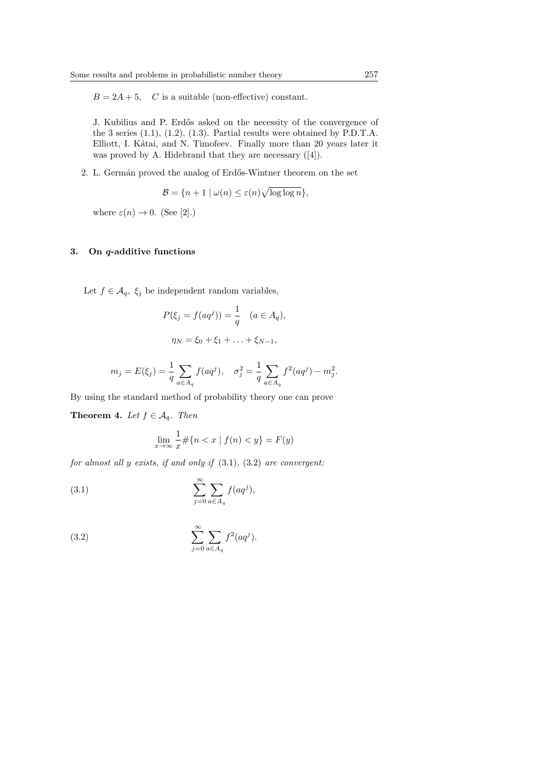$B = 2A + 5$ , *C* is a suitable (non-effective) constant.

J. Kubilius and P. Erd˝os asked on the necessity of the convergence of the 3 series (1.1), (1.2), (1.3). Partial results were obtained by P.D.T.A. Elliott, I. Kátai, and N. Timofeev. Finally more than 20 years later it was proved by A. Hidebrand that they are necessary ([4]).

2. L. Germán proved the analog of Erdős-Wintner theorem on the set

$$
\mathcal{B} = \{ n + 1 \mid \omega(n) \le \varepsilon(n) \sqrt{\log \log n} \},
$$

where  $\varepsilon(n) \to 0$ . (See [2].)

### **3. On** *q***-additive functions**

Let  $f \in \mathcal{A}_q$ ,  $\xi_j$  be independent random variables,

$$
P(\xi_j = f(aq^j)) = \frac{1}{q} \quad (a \in A_q),
$$
  

$$
\eta_N = \xi_0 + \xi_1 + \ldots + \xi_{N-1},
$$

$$
m_j = E(\xi_j) = \frac{1}{q} \sum_{a \in A_q} f(aq^j), \quad \sigma_j^2 = \frac{1}{q} \sum_{a \in A_q} f^2(aq^j) - m_j^2.
$$

By using the standard method of probability theory one can prove

**Theorem 4.** *Let*  $f \in \mathcal{A}_q$ *. Then* 

$$
\lim_{x \to \infty} \frac{1}{x} \# \{ n < x \mid f(n) < y \} = F(y)
$$

*for almost all y exists, if and only if* (3.1)*,* (3.2) *are convergent:*

(3.1) 
$$
\sum_{j=0}^{\infty} \sum_{a \in A_q} f(aq^j),
$$

(3.2) 
$$
\sum_{j=0}^{\infty} \sum_{a \in A_q} f^2(aq^j).
$$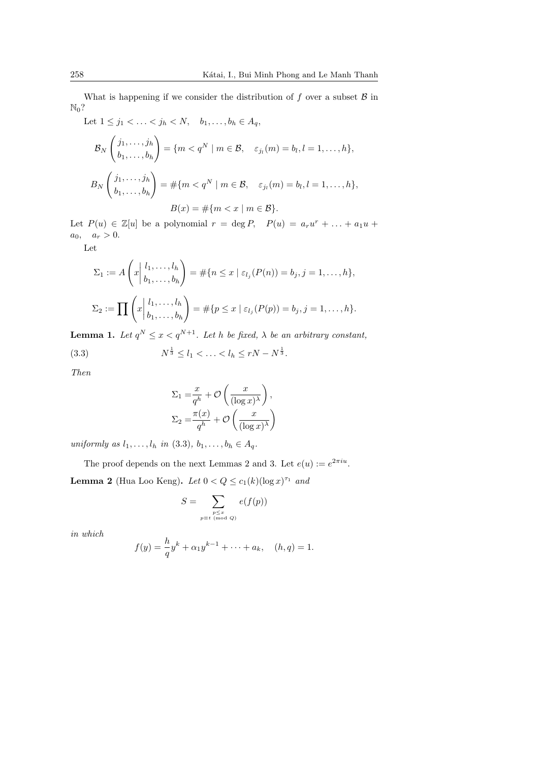What is happening if we consider the distribution of *f* over a subset *B* in  $\mathbb{N}_0$ ?

Let  $1 \leq j_1 < \ldots < j_h < N$ ,  $b_1, \ldots, b_h \in A_q$ ,  $\mathcal{B}_N$  $\int j_1, \ldots, j_h$  $b_1, \ldots, b_h$  $\setminus$  $= \{m < q^N \mid m \in \mathcal{B}, \quad \varepsilon_{j_l}(m) = b_l, l = 1, \ldots, h\},\$ *B<sup>N</sup>*  $\int j_1, \ldots, j_h$  $b_1, \ldots, b_h$  $\setminus$  $=$  # $\{m < q^N \mid m \in \mathcal{B}, \quad \varepsilon_{j_l}(m) = b_l, l = 1, ..., h\},\$  $B(x) = \#\{m < x \mid m \in \mathcal{B}\}.$ 

Let  $P(u) \in \mathbb{Z}[u]$  be a polynomial  $r = \deg P$ ,  $P(u) = a_r u^r + \ldots + a_1 u +$  $a_0, \quad a_r > 0.$ 

Let

$$
\Sigma_1 := A\left(x \middle| \begin{array}{c} l_1, \dots, l_h \\ b_1, \dots, b_h \end{array}\right) = \# \{ n \leq x \mid \varepsilon_{l_j}(P(n)) = b_j, j = 1, \dots, h \},
$$
\n
$$
\Sigma_2 := \prod \left(x \middle| \begin{array}{c} l_1, \dots, l_h \\ b_1, \dots, b_h \end{array}\right) = \# \{ p \leq x \mid \varepsilon_{l_j}(P(p)) = b_j, j = 1, \dots, h \}.
$$

**Lemma 1.** Let  $q^N \leq x < q^{N+1}$ . Let *h* be fixed,  $\lambda$  be an arbitrary constant,

(3.3) 
$$
N^{\frac{1}{3}} \le l_1 < \ldots < l_h \le rN - N^{\frac{1}{3}}.
$$

*Then*

$$
\Sigma_1 = \frac{x}{q^h} + \mathcal{O}\left(\frac{x}{(\log x)^\lambda}\right),
$$
  

$$
\Sigma_2 = \frac{\pi(x)}{q^h} + \mathcal{O}\left(\frac{x}{(\log x)^\lambda}\right)
$$

*uniformly as*  $l_1, \ldots, l_h$  *in* (3.3)*,*  $b_1, \ldots, b_h \in A_q$ .

The proof depends on the next Lemmas 2 and 3. Let  $e(u) := e^{2\pi i u}$ . **Lemma 2** (Hua Loo Keng). *Let*  $0 < Q \le c_1(k)(\log x)^{\tau_1}$  *and* 

$$
S = \sum_{\substack{p \le x \\ p \equiv t \pmod{Q}}} e(f(p))
$$

*in which*

$$
f(y) = \frac{h}{q}y^{k} + \alpha_1 y^{k-1} + \dots + a_k, \quad (h, q) = 1.
$$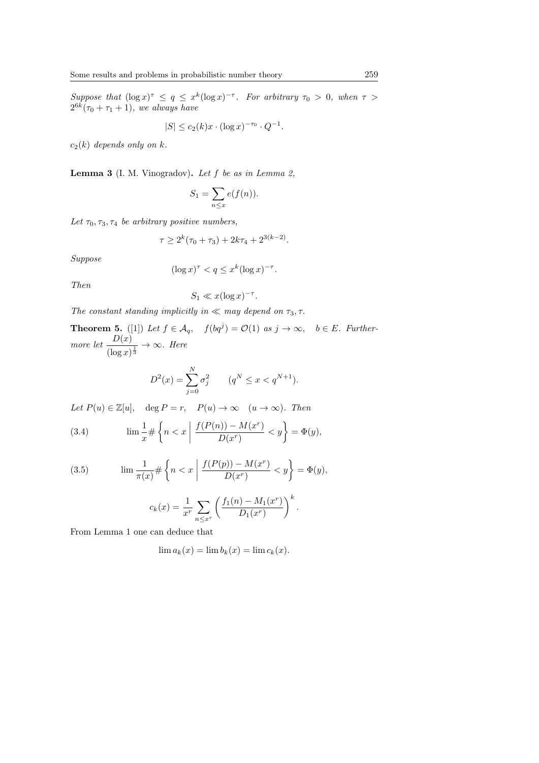*Suppose that*  $(\log x)^{\tau} \leq q \leq x^k (\log x)^{-\tau}$ . For arbitrary  $\tau_0 > 0$ , when  $\tau >$  $2^{6k}(\tau_0 + \tau_1 + 1)$ *, we always have* 

$$
|S| \le c_2(k)x \cdot (\log x)^{-\tau_0} \cdot Q^{-1}.
$$

 $c_2(k)$  *depends only on*  $k$ *.* 

**Lemma 3** (I. M. Vinogradov)**.** *Let f be as in Lemma 2,*

$$
S_1 = \sum_{n \le x} e(f(n)).
$$

Let  $\tau_0$ ,  $\tau_3$ ,  $\tau_4$  *be arbitrary positive numbers,* 

$$
\tau \ge 2^k(\tau_0 + \tau_3) + 2k\tau_4 + 2^{3(k-2)}.
$$

*Suppose*

$$
(\log x)^{\tau} < q \leq x^k (\log x)^{-\tau}.
$$

*Then*

$$
S_1 \ll x(\log x)^{-\tau}.
$$

*The constant standing implicitly in*  $\ll$  *may depend on*  $\tau_3$ *,*  $\tau$ *.* 

**Theorem 5.** ([1]) Let  $f \in \mathcal{A}_q$ ,  $f(bq^j) = \mathcal{O}(1)$  as  $j \to \infty$ ,  $b \in E$ *. Furthermore let*  $\frac{D(x)}{D(x)}$  $\frac{D(x)}{(\log x)^{\frac{1}{3}}} \to \infty$ *. Here* 

$$
D^{2}(x) = \sum_{j=0}^{N} \sigma_{j}^{2} \qquad (q^{N} \leq x < q^{N+1}).
$$

*Let*  $P(u) \in \mathbb{Z}[u]$ , deg  $P = r$ ,  $P(u) \to \infty$  ( $u \to \infty$ ). Then

(3.4) 
$$
\lim \frac{1}{x} \# \left\{ n < x \mid \frac{f(P(n)) - M(x^r)}{D(x^r)} < y \right\} = \Phi(y),
$$

(3.5) 
$$
\lim \frac{1}{\pi(x)} \# \left\{ n < x \mid \frac{f(P(p)) - M(x^r)}{D(x^r)} < y \right\} = \Phi(y),
$$

$$
c_k(x) = \frac{1}{x^r} \sum_{n \le x^r} \left( \frac{f_1(n) - M_1(x^r)}{D_1(x^r)} \right)^k.
$$

From Lemma 1 one can deduce that

$$
\lim a_k(x) = \lim b_k(x) = \lim c_k(x).
$$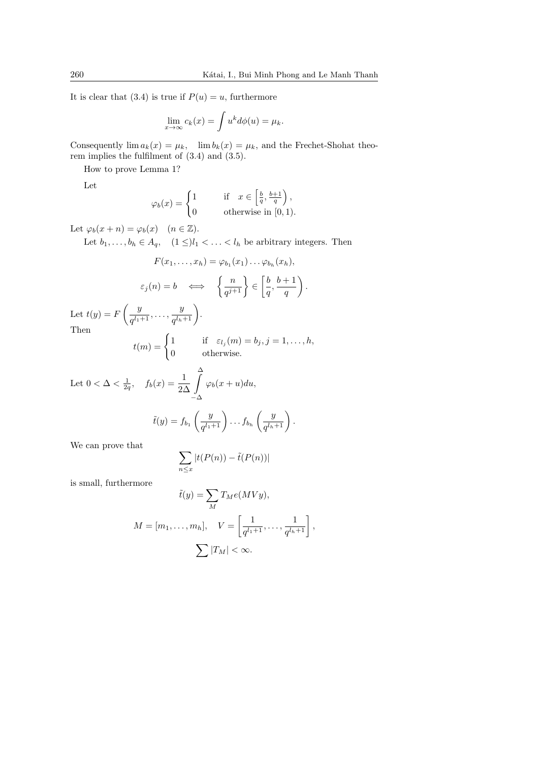*.*

It is clear that (3.4) is true if  $P(u) = u$ , furthermore

$$
\lim_{x \to \infty} c_k(x) = \int u^k d\phi(u) = \mu_k.
$$

Consequently  $\lim a_k(x) = \mu_k$ ,  $\lim b_k(x) = \mu_k$ , and the Frechet-Shohat theorem implies the fulfilment of (3.4) and (3.5).

How to prove Lemma 1?

Let

$$
\varphi_b(x) = \begin{cases} 1 \qquad &\text{if} \quad x \in \left[\frac{b}{q}, \frac{b+1}{q}\right), \\ 0 \qquad &\text{otherwise in } [0,1). \end{cases}
$$

Let  $\varphi_b(x+n) = \varphi_b(x) \quad (n \in \mathbb{Z}).$ 

Let  $b_1, \ldots, b_h \in A_q$ ,  $(1 \leq)l_1 < \ldots < l_h$  be arbitrary integers. Then

$$
F(x_1, ..., x_h) = \varphi_{b_1}(x_1) \dots \varphi_{b_h}(x_h),
$$
  

$$
\varepsilon_j(n) = b \iff \left\{ \frac{n}{q^{j+1}} \right\} \in \left[ \frac{b}{q}, \frac{b+1}{q} \right)
$$

Let  $t(y) = F$ ( *y*  $\frac{y}{q^{l_1+1}}, \ldots, \frac{y}{q^{l_h}}$ Then

$$
t(m) = \begin{cases} 1 & \text{if } \varepsilon_{l_j}(m) = b_j, j = 1, \dots, h, \\ 0 & \text{otherwise.} \end{cases}
$$

Let 
$$
0 < \Delta < \frac{1}{2q}
$$
,  $f_b(x) = \frac{1}{2\Delta} \int_{-\Delta}^{\Delta} \varphi_b(x+u) du$ ,  

$$
\tilde{t}(y) = f_{b_1}\left(\frac{y}{q^{l_1+1}}\right) \dots f_{b_h}\left(\frac{y}{q^{l_h+1}}\right).
$$

 $\frac{y}{q^{l_h+1}}$ .

We can prove that

$$
\sum_{n \le x} |t(P(n)) - \tilde{t}(P(n))|
$$

is small, furthermore

$$
\tilde{t}(y) = \sum_{M} T_M e(MVy),
$$
  

$$
M = [m_1, \dots, m_h], \quad V = \left[\frac{1}{q^{l_1+1}}, \dots, \frac{1}{q^{l_h+1}}\right],
$$
  

$$
\sum |T_M| < \infty.
$$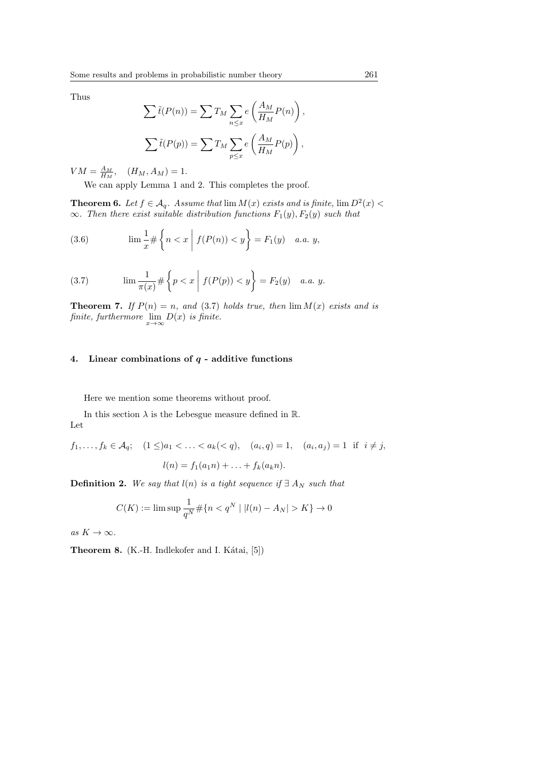Thus

$$
\sum \tilde{t}(P(n)) = \sum T_M \sum_{n \le x} e\left(\frac{A_M}{H_M} P(n)\right),
$$
  

$$
\sum \tilde{t}(P(p)) = \sum T_M \sum_{p \le x} e\left(\frac{A_M}{H_M} P(p)\right),
$$

 $VM = \frac{A_M}{H_M}, \quad (H_M, A_M) = 1.$ 

We can apply Lemma 1 and 2. This completes the proof.

**Theorem 6.** Let  $f \in A_q$ . Assume that  $\lim M(x)$  exists and is finite,  $\lim D^2(x)$ *∞. Then there exist suitable distribution functions F*1(*y*)*, F*2(*y*) *such that*

(3.6) 
$$
\lim \frac{1}{x} \# \left\{ n < x \mid f(P(n)) < y \right\} = F_1(y) \quad a.a. \ y,
$$

(3.7) 
$$
\lim \frac{1}{\pi(x)} \# \left\{ p < x \mid f(P(p)) < y \right\} = F_2(y) \quad a.a. \ y.
$$

**Theorem 7.** If  $P(n) = n$ , and (3.7) holds true, then  $\lim M(x)$  exists and is *finite, furthermore*  $\lim_{x \to \infty} D(x)$  *is finite.* 

### **4. Linear combinations of** *q* **- additive functions**

Here we mention some theorems without proof.

In this section  $\lambda$  is the Lebesgue measure defined in  $\mathbb{R}$ . Let

$$
f_1, \ldots, f_k \in \mathcal{A}_q; \quad (1 \le a_1 < \ldots < a_k < q), \quad (a_i, q) = 1, \quad (a_i, a_j) = 1 \quad \text{if} \quad i \neq j,
$$
\n
$$
l(n) = f_1(a_1 n) + \ldots + f_k(a_k n).
$$

**Definition 2.** *We say that*  $l(n)$  *is a tight sequence if*  $\exists A_N$  *such that* 

$$
C(K) := \limsup \frac{1}{q^N} \# \{ n < q^N \mid |l(n) - A_N| > K \} \to 0
$$

 $as K \to \infty$ .

**Theorem 8.** (K.-H. Indlekofer and I. Kátai, [5])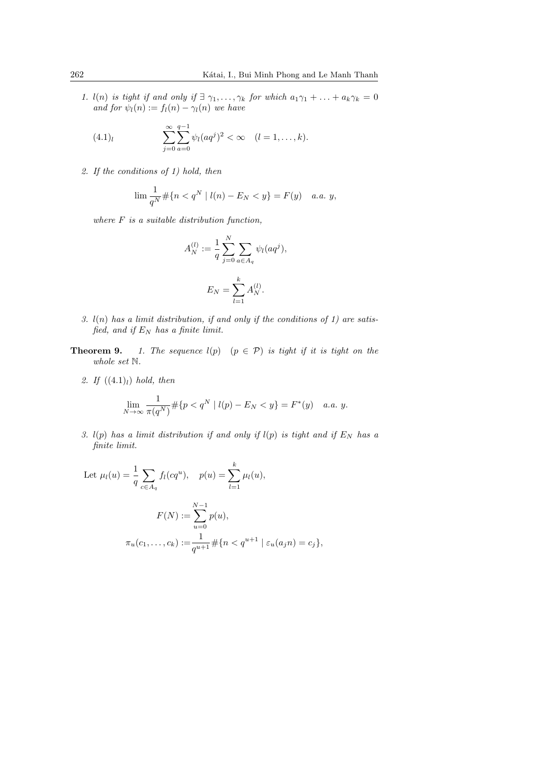*1. l*(*n*) *is tight if and only if*  $\exists \gamma_1, \ldots, \gamma_k$  *for which*  $a_1\gamma_1 + \ldots + a_k\gamma_k = 0$ *and for*  $\psi_l(n) := f_l(n) - \gamma_l(n)$  *we have* 

(4.1)<sub>l</sub> 
$$
\sum_{j=0}^{\infty} \sum_{a=0}^{q-1} \psi_l(aq^j)^2 < \infty \quad (l = 1, ..., k).
$$

*2. If the conditions of 1) hold, then*

$$
\lim \frac{1}{q^N} \# \{ n < q^N \mid l(n) - E_N < y \} = F(y) \quad a.a. \ y,
$$

*where F is a suitable distribution function,*

$$
A_N^{(l)} := \frac{1}{q} \sum_{j=0}^N \sum_{a \in A_q} \psi_l(aq^j),
$$
  

$$
E_N = \sum_{l=1}^k A_N^{(l)}.
$$

- *3. l*(*n*) *has a limit distribution, if and only if the conditions of 1) are satisfied, and if E<sup>N</sup> has a finite limit.*
- **Theorem 9.** *1. The sequence*  $l(p)$  ( $p \in \mathcal{P}$ ) *is tight if it is tight on the whole set* N*.*
	- *2. If* ((4*.*1)*l*) *hold, then*

$$
\lim_{N \to \infty} \frac{1}{\pi(q^N)} \# \{ p < q^N \mid l(p) - E_N < y \} = F^*(y) \quad a.a. \ y.
$$

*3. l*(*p*) *has a limit distribution if and only if l*(*p*) *is tight and if E<sup>N</sup> has a finite limit.*

Let 
$$
\mu_l(u) = \frac{1}{q} \sum_{c \in A_q} f_l(cq^u), \quad p(u) = \sum_{l=1}^k \mu_l(u),
$$
  

$$
F(N) := \sum_{u=0}^{N-1} p(u),
$$
  

$$
\pi_u(c_1, \dots, c_k) := \frac{1}{q^{u+1}} \# \{ n < q^{u+1} | \varepsilon_u(a_j n) = c_j \},
$$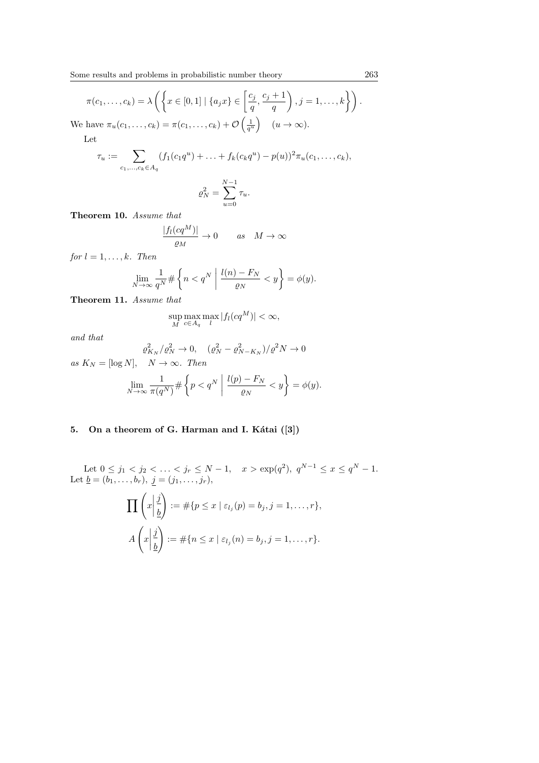$$
\pi(c_1, \dots, c_k) = \lambda \left( \left\{ x \in [0, 1] \mid \{a_j x\} \in \left[\frac{c_j}{q}, \frac{c_j + 1}{q}\right), j = 1, \dots, k \right\} \right).
$$
  
We have  $\pi_u(c_1, \dots, c_k) = \pi(c_1, \dots, c_k) + \mathcal{O}\left(\frac{1}{q^u}\right) \quad (u \to \infty).$ 

Let

$$
\tau_u := \sum_{c_1, ..., c_k \in A_q} (f_1(c_1 q^u) + ... + f_k(c_k q^u) - p(u))^2 \pi_u(c_1, ..., c_k),
$$
  

$$
\sigma_v^2 = \sum_{r=1}^{N-1} \tau_r
$$

$$
\varrho_N^2 = \sum_{u=0} \tau_u.
$$

**Theorem 10.** *Assume that*

$$
\frac{|f_l(cq^M)|}{\varrho_M}\to 0\qquad as\quad M\to\infty
$$

*for*  $l = 1, \ldots, k$ *. Then* 

$$
\lim_{N \to \infty} \frac{1}{q^N} \# \left\{ n < q^N \; \middle| \; \frac{l(n) - F_N}{\varrho_N} < y \right\} = \phi(y).
$$

**Theorem 11.** *Assume that*

$$
\sup_{M} \max_{c \in A_q} \max_{l} |f_l(cq^M)| < \infty,
$$

*and that*

$$
\varrho_{K_N}^2 / \varrho_N^2 \to 0, \quad (\varrho_N^2 - \varrho_{N-K_N}^2) / \varrho^2 N \to 0
$$
  
as  $K_N = [\log N], \quad N \to \infty$ . Then  

$$
\lim_{N \to \infty} \frac{1}{\pi (q^N)} \# \left\{ p < q^N \; \middle| \; \frac{l(p) - F_N}{\varrho_N} < y \right\} = \phi(y).
$$

# 5. On a theorem of G. Harman and I. Kátai ([3])

Let  $0 \le j_1 < j_2 < \ldots < j_r \le N-1$ ,  $x > \exp(q^2)$ ,  $q^{N-1} \le x \le q^N-1$ . Let  $\underline{b} = (b_1, \ldots, b_r), \ j = (j_1, \ldots, j_r),$ ∏ ( *x*  $\begin{array}{c} \begin{array}{c} \begin{array}{c} \end{array} \\ \begin{array}{c} \end{array} \end{array} \end{array}$ *j b*  $\setminus$  $:=\#\{p\leq x\mid \varepsilon_{l_j}(p)=b_j, j=1,\ldots,r\},\$ *A*  $\sqrt{ }$ *x j b*  $\setminus$  $:=$   $\#\{n \leq x \mid \varepsilon_{l_j}(n) = b_j, j = 1, \ldots, r\}.$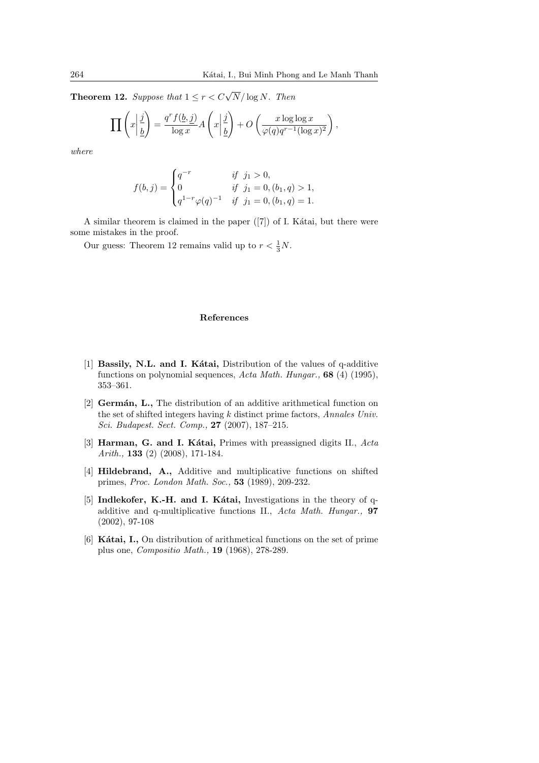**Theorem 12.** *Suppose that*  $1 \leq r < C\sqrt{N}/\log N$ *. Then* 

$$
\prod \left(x \left| \frac{j}{\underline{b}} \right.\right) = \frac{q^r f(\underline{b}, \underline{j})}{\log x} A\left(x \left| \frac{j}{\underline{b}} \right.\right) + O\left(\frac{x \log \log x}{\varphi(q) q^{r-1} (\log x)^2}\right),
$$

*where*

$$
f(b,j) = \begin{cases} q^{-r} & \text{if } j_1 > 0, \\ 0 & \text{if } j_1 = 0, (b_1, q) > 1, \\ q^{1-r} \varphi(q)^{-1} & \text{if } j_1 = 0, (b_1, q) = 1. \end{cases}
$$

A similar theorem is claimed in the paper  $([7])$  of I. Kátai, but there were some mistakes in the proof.

Our guess: Theorem 12 remains valid up to  $r < \frac{1}{3}N$ .

### **References**

- [1] **Bassily, N.L. and I. Kátai,** Distribution of the values of q-additive functions on polynomial sequences, *Acta Math. Hungar.,* **68** (4) (1995), 353–361.
- [2] **Germán, L.,** The distribution of an additive arithmetical function on the set of shifted integers having *k* distinct prime factors, *Annales Univ. Sci. Budapest. Sect. Comp.,* **27** (2007), 187–215.
- [3] **Harman, G. and I. Kátai,** Primes with preassigned digits II., *Acta Arith.,* **133** (2) (2008), 171-184.
- [4] **Hildebrand, A.,** Additive and multiplicative functions on shifted primes, *Proc. London Math. Soc.,* **53** (1989), 209-232.
- [5] Indlekofer, K.-H. and I. Kátai, Investigations in the theory of qadditive and q-multiplicative functions II., *Acta Math. Hungar.,* **97** (2002), 97-108
- [6] Kátai, I., On distribution of arithmetical functions on the set of prime plus one, *Compositio Math.,* **19** (1968), 278-289.